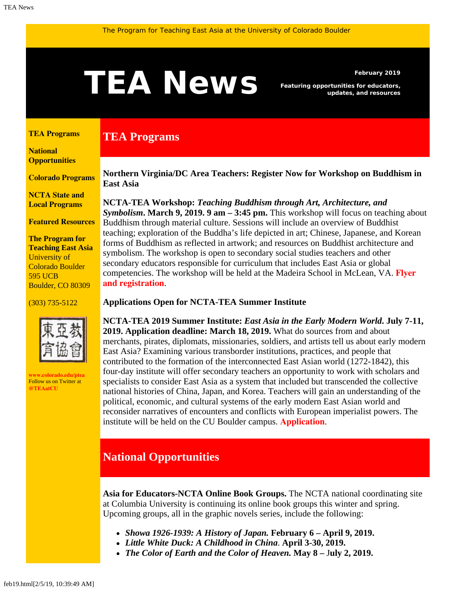# <span id="page-0-1"></span>February 2019<br>**Featuring opportunities for educators,**<br>updates, and resources

**TEA Programs**

*Featuring opportunities for educators, updates, and resources*

#### <span id="page-0-0"></span>**[TEA Programs](#page-0-0)**

**[National](#page-0-1)  [Opportunities](#page-0-1)**

**[Colorado Programs](#page-0-1)**

**[NCTA State and](#page-2-0) [Local Programs](#page-2-0)**

**[Featured Resources](#page-3-0)**

**The Program for Teaching East Asia** University of Colorado Boulder 595 UCB Boulder, CO 80309

#### (303) 735-5122



**[www.colorado.edu/ptea](http://www.colorado.edu/cas/tea)** Follow us on Twitter at **[@TEAatCU](https://twitter.com/TEAatCU)**

**Northern Virginia/DC Area Teachers: Register Now for Workshop on Buddhism in East Asia**

**NCTA-TEA Workshop:** *Teaching Buddhism through Art, Architecture, and Symbolism***. March 9, 2019. 9 am – 3:45 pm.** This workshop will focus on teaching about Buddhism through material culture. Sessions will include an overview of Buddhist teaching; exploration of the Buddha's life depicted in art; Chinese, Japanese, and Korean forms of Buddhism as reflected in artwork; and resources on Buddhist architecture and symbolism. The workshop is open to secondary social studies teachers and other secondary educators responsible for curriculum that includes East Asia or global competencies. The workshop will be held at the Madeira School in McLean, VA. **[Flyer](https://www.colorado.edu/ptea/sites/default/files/attached-files/nova_ncta_march_9_buddhism.pdf) [and registration](https://www.colorado.edu/ptea/sites/default/files/attached-files/nova_ncta_march_9_buddhism.pdf)**.

### **Applications Open for NCTA-TEA Summer Institute**

**NCTA-TEA 2019 Summer Institute:** *East Asia in the Early Modern World***. July 7-11, 2019. Application deadline: March 18, 2019.** What do sources from and about merchants, pirates, diplomats, missionaries, soldiers, and artists tell us about early modern East Asia? Examining various transborder institutions, practices, and people that contributed to the formation of the interconnected East Asian world (1272-1842), this four-day institute will offer secondary teachers an opportunity to work with scholars and specialists to consider East Asia as a system that included but transcended the collective national histories of China, Japan, and Korea. Teachers will gain an understanding of the political, economic, and cultural systems of the early modern East Asian world and reconsider narratives of encounters and conflicts with European imperialist powers. The institute will be held on the CU Boulder campus. **[Application](https://www.colorado.edu/ptea/sites/default/files/attached-files/si19application_fillable.pdf)**.

## **National Opportunities**

**Asia for Educators-NCTA Online Book Groups.** The NCTA national coordinating site at Columbia University is continuing its online book groups this winter and spring. Upcoming groups, all in the graphic novels series, include the following:

- *Showa 1926-1939: A History of Japan.* **February 6 April 9, 2019.**
- *Little White Duck: A Childhood in China*. **April 3-30, 2019.**
- *The Color of Earth and the Color of Heaven.* **May 8 –** J**uly 2, 2019.**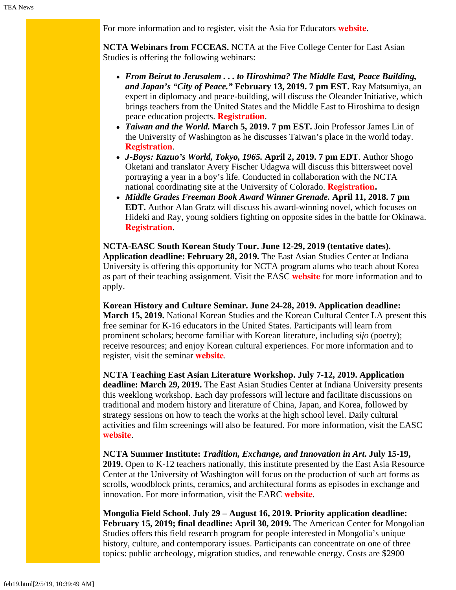For more information and to register, visit the Asia for Educators **[website](http://asiaforeducators.org/course/index.php?categoryid=41)**.

**NCTA Webinars from FCCEAS.** NCTA at the Five College Center for East Asian Studies is offering the following webinars:

- *From Beirut to Jerusalem . . . to Hiroshima? The Middle East, Peace Building, and Japan's "City of Peace."* **February 13, 2019. 7 pm EST.** Ray Matsumiya, an expert in diplomacy and peace-building, will discuss the Oleander Initiative, which brings teachers from the United States and the Middle East to Hiroshima to design peace education projects. **[Registration](https://attendee.gotowebinar.com/register/7921002009335172866)**.
- *Taiwan and the World.* **March 5, 2019. 7 pm EST.** Join Professor James Lin of the University of Washington as he discusses Taiwan's place in the world today. **[Registration](https://register.gotowebinar.com/register/6175470123094257155)**.
- *J-Boys: Kazuo's World, Tokyo, 1965.* **April 2, 2019. 7 pm EDT**. Author Shogo Oketani and translator Avery Fischer Udagwa will discuss this bittersweet novel portraying a year in a boy's life. Conducted in collaboration with the NCTA national coordinating site at the University of Colorado. **[Registration.](https://register.gotowebinar.com/register/7147882607747609603)**
- *Middle Grades Freeman Book Award Winner Grenade.* **April 11, 2018. 7 pm EDT.** Author Alan Gratz will discuss his award-winning novel, which focuses on Hideki and Ray, young soldiers fighting on opposite sides in the battle for Okinawa. **[Registration](https://register.gotowebinar.com/register/7258607824323723265)**.

**NCTA-EASC South Korean Study Tour. June 12-29, 2019 (tentative dates). Application deadline: February 28, 2019.** The East Asian Studies Center at Indiana University is offering this opportunity for NCTA program alums who teach about Korea as part of their teaching assignment. Visit the EASC **[website](https://easc.indiana.edu/programs/ncta-programs/ncta-studytours.html)** for more information and to apply.

**Korean History and Culture Seminar. June 24-28, 2019. Application deadline: March 15, 2019.** National Korean Studies and the Korean Cultural Center LA present this free seminar for K-16 educators in the United States. Participants will learn from prominent scholars; become familiar with Korean literature, including *sijo* (poetry); receive resources; and enjoy Korean cultural experiences. For more information and to register, visit the seminar **[website](http://koreanseminar.org/register)**.

**NCTA Teaching East Asian Literature Workshop. July 7-12, 2019. Application deadline: March 29, 2019.** The East Asian Studies Center at Indiana University presents this weeklong workshop. Each day professors will lecture and facilitate discussions on traditional and modern history and literature of China, Japan, and Korea, followed by strategy sessions on how to teach the works at the high school level. Daily cultural activities and film screenings will also be featured. For more information, visit the EASC **[website](https://easc.indiana.edu/programs/ncta-programs/ncta-summer-literature-workshop.html)**.

**NCTA Summer Institute:** *Tradition, Exchange, and Innovation in Art***. July 15-19, 2019.** Open to K-12 teachers nationally, this institute presented by the East Asia Resource Center at the University of Washington will focus on the production of such art forms as scrolls, woodblock prints, ceramics, and architectural forms as episodes in exchange and innovation. For more information, visit the EARC **[website](https://jsis.washington.edu/earc/tradition-exchange-and-innovation-in-art-an-introduction-to-east-asian-visual-culture-and-beyond/)**.

**Mongolia Field School. July 29 – August 16, 2019. Priority application deadline: February 15, 2019; final deadline: April 30, 2019.** The American Center for Mongolian Studies offers this field research program for people interested in Mongolia's unique history, culture, and contemporary issues. Participants can concentrate on one of three topics: public archeology, migration studies, and renewable energy. Costs are \$2900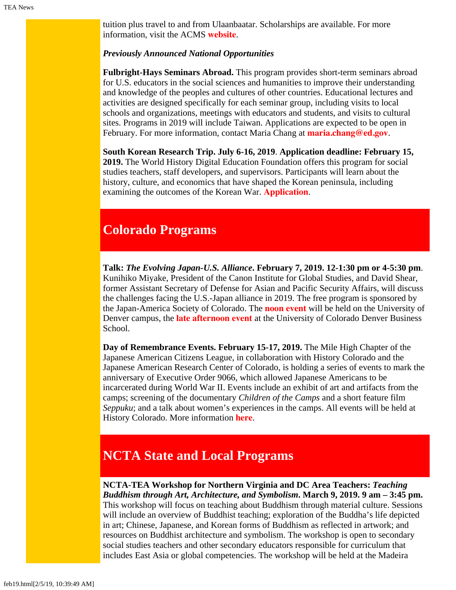tuition plus travel to and from Ulaanbaatar. Scholarships are available. For more information, visit the ACMS **[website](https://www.mongoliacenter.org/acms-mongolia-field-school-2019/)**.

#### *Previously Announced National Opportunities*

**Fulbright-Hays Seminars Abroad.** This program provides short-term seminars abroad for U.S. educators in the social sciences and humanities to improve their understanding and knowledge of the peoples and cultures of other countries. Educational lectures and activities are designed specifically for each seminar group, including visits to local schools and organizations, meetings with educators and students, and visits to cultural sites. Programs in 2019 will include Taiwan. Applications are expected to be open in February. For more information, contact Maria Chang at **[maria.chang@ed.gov](mailto:maria.chang@ed.gov)**.

**South Korean Research Trip. July 6-16, 2019**. **Application deadline: February 15, 2019.** The World History Digital Education Foundation offers this program for social studies teachers, staff developers, and supervisors. Participants will learn about the history, culture, and economics that have shaped the Korean peninsula, including examining the outcomes of the Korean War. **[Application](https://koreanwardigitalhistoryproject.submittable.com/submit/122058/2019-korean-research-trip)**.

# **Colorado Programs**

**Talk:** *The Evolving Japan-U.S. Alliance***. February 7, 2019. 12-1:30 pm or 4-5:30 pm**. Kunihiko Miyake, President of the Canon Institute for Global Studies, and David Shear, former Assistant Secretary of Defense for Asian and Pacific Security Affairs, will discuss the challenges facing the U.S.-Japan alliance in 2019. The free program is sponsored by the Japan-America Society of Colorado. The **[noon event](https://www.jascolorado.org/eventsold/2019/2/7/the-evolving-japan-us-alliance#!event-register/2019/2/7/the-evolving-japan-u-s-alliance)** will be held on the University of Denver campus, the **[late afternoon event](https://www.jascolorado.org/eventsold/2019/2/7/the-evolving-japan-us-alliance-afternoon-at-cu-denver#!event-register/2019/2/7/the-evolving-japan-u-s-alliance-afternoon-at-cu-denver)** at the University of Colorado Denver Business School.

**Day of Remembrance Events. February 15-17, 2019.** The Mile High Chapter of the Japanese American Citizens League, in collaboration with History Colorado and the Japanese American Research Center of Colorado, is holding a series of events to mark the anniversary of Executive Order 9066, which allowed Japanese Americans to be incarcerated during World War II. Events include an exhibit of art and artifacts from the camps; screening of the documentary *Children of the Camps* and a short feature film *Seppuku*; and a talk about women's experiences in the camps. All events will be held at History Colorado. More information **[here](https://www.historycolorado.org/event/day-remembrance-events/2019/02/15)**.

# <span id="page-2-0"></span>**NCTA State and Local Programs**

**NCTA-TEA Workshop for Northern Virginia and DC Area Teachers:** *Teaching Buddhism through Art, Architecture, and Symbolism***. March 9, 2019. 9 am – 3:45 pm.** This workshop will focus on teaching about Buddhism through material culture. Sessions will include an overview of Buddhist teaching; exploration of the Buddha's life depicted in art; Chinese, Japanese, and Korean forms of Buddhism as reflected in artwork; and resources on Buddhist architecture and symbolism. The workshop is open to secondary social studies teachers and other secondary educators responsible for curriculum that includes East Asia or global competencies. The workshop will be held at the Madeira